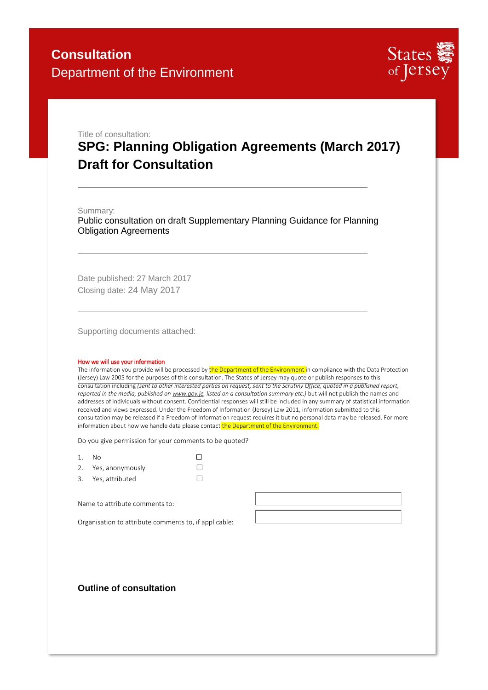

Title of consultation:

# **SPG: Planning Obligation Agreements (March 2017) Draft for Consultation**

#### Summary:

Public consultation on draft Supplementary Planning Guidance for Planning Obligation Agreements

Date published: 27 March 2017 Closing date: 24 May 2017

Supporting documents attached:

#### How we will use your information

The information you provide will be processed by the Department of the Environment in compliance with the Data Protection (Jersey) Law 2005 for the purposes of this consultation. The States of Jersey may quote or publish responses to this consultation including *(sent to other interested parties on request, sent to the Scrutiny Office, quoted in a published report, reported in the media, published o[n www.gov.je,](http://www.gov.je/) listed on a consultation summary etc.)* but will not publish the names and addresses of individuals without consent. Confidential responses will still be included in any summary of statistical information received and views expressed. Under the Freedom of Information (Jersey) Law 2011, information submitted to this consultation may be released if a Freedom of Information request requires it but no personal data may be released. For more information about how we handle data please contact the Department of the Environment.

Do you give permission for your comments to be quoted?

|    | - No               |  |
|----|--------------------|--|
| 2. | . Yes, anonymously |  |

| . Yes, attributed | П |
|-------------------|---|

Name to attribute comments to:

Organisation to attribute comments to, if applicable:

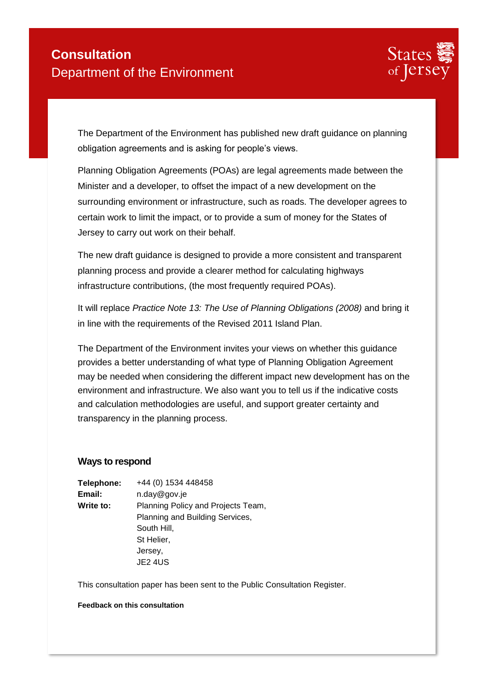

The Department of the Environment has published new draft guidance on planning obligation agreements and is asking for people's views.

Planning Obligation Agreements (POAs) are legal agreements made between the Minister and a developer, to offset the impact of a new development on the surrounding environment or infrastructure, such as roads. The developer agrees to certain work to limit the impact, or to provide a sum of money for the States of Jersey to carry out work on their behalf.

The new draft guidance is designed to provide a more consistent and transparent planning process and provide a clearer method for calculating highways infrastructure contributions, (the most frequently required POAs).

It will replace *Practice Note 13: The Use of Planning Obligations (2008)* and bring it in line with the requirements of the Revised 2011 Island Plan.

The Department of the Environment invites your views on whether this guidance provides a better understanding of what type of Planning Obligation Agreement may be needed when considering the different impact new development has on the environment and infrastructure. We also want you to tell us if the indicative costs and calculation methodologies are useful, and support greater certainty and transparency in the planning process.

## **Ways to respond**

| Telephone: | +44 (0) 1534 448458                |
|------------|------------------------------------|
| Email:     | n.day@gov.je                       |
| Write to:  | Planning Policy and Projects Team, |
|            | Planning and Building Services,    |
|            | South Hill,                        |
|            | St Helier,                         |
|            | Jersey,                            |
|            | <b>JE2 4US</b>                     |

This consultation paper has been sent to the Public Consultation Register.

### **Feedback on this consultation**